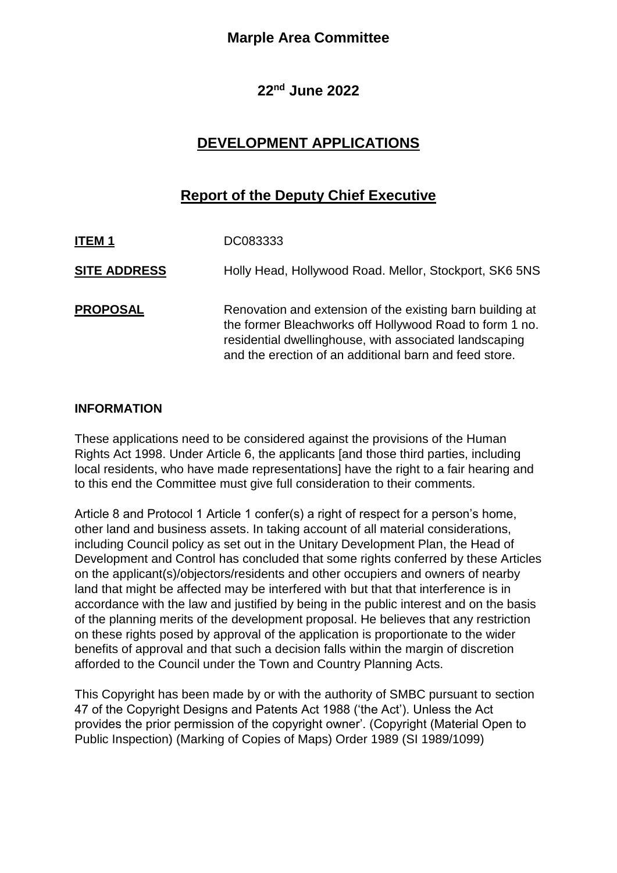# **Marple Area Committee**

## **22nd June 2022**

# **DEVELOPMENT APPLICATIONS**

# **Report of the Deputy Chief Executive**

| <b>ITEM1</b>        | DC083333                                                                                                                                                                                                                                 |
|---------------------|------------------------------------------------------------------------------------------------------------------------------------------------------------------------------------------------------------------------------------------|
| <b>SITE ADDRESS</b> | Holly Head, Hollywood Road. Mellor, Stockport, SK6 5NS                                                                                                                                                                                   |
| <b>PROPOSAL</b>     | Renovation and extension of the existing barn building at<br>the former Bleachworks off Hollywood Road to form 1 no.<br>residential dwellinghouse, with associated landscaping<br>and the erection of an additional barn and feed store. |

### **INFORMATION**

These applications need to be considered against the provisions of the Human Rights Act 1998. Under Article 6, the applicants [and those third parties, including local residents, who have made representations] have the right to a fair hearing and to this end the Committee must give full consideration to their comments.

Article 8 and Protocol 1 Article 1 confer(s) a right of respect for a person's home, other land and business assets. In taking account of all material considerations, including Council policy as set out in the Unitary Development Plan, the Head of Development and Control has concluded that some rights conferred by these Articles on the applicant(s)/objectors/residents and other occupiers and owners of nearby land that might be affected may be interfered with but that that interference is in accordance with the law and justified by being in the public interest and on the basis of the planning merits of the development proposal. He believes that any restriction on these rights posed by approval of the application is proportionate to the wider benefits of approval and that such a decision falls within the margin of discretion afforded to the Council under the Town and Country Planning Acts.

This Copyright has been made by or with the authority of SMBC pursuant to section 47 of the Copyright Designs and Patents Act 1988 ('the Act'). Unless the Act provides the prior permission of the copyright owner'. (Copyright (Material Open to Public Inspection) (Marking of Copies of Maps) Order 1989 (SI 1989/1099)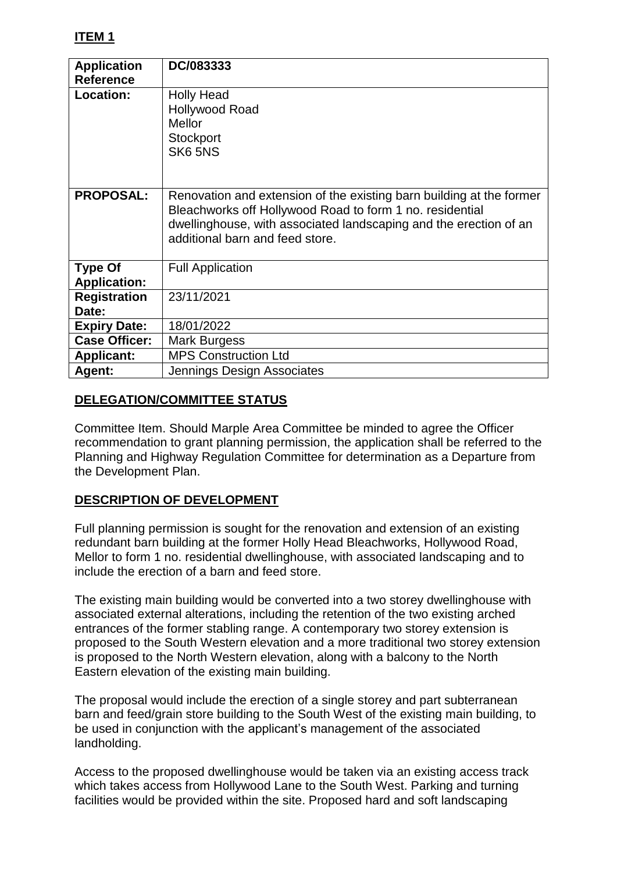| <b>Application</b><br><b>Reference</b> | DC/083333                                                                                                                                                                                                                                |
|----------------------------------------|------------------------------------------------------------------------------------------------------------------------------------------------------------------------------------------------------------------------------------------|
| Location:                              | <b>Holly Head</b><br><b>Hollywood Road</b><br><b>Mellor</b><br>Stockport<br>SK6 5NS                                                                                                                                                      |
| <b>PROPOSAL:</b>                       | Renovation and extension of the existing barn building at the former<br>Bleachworks off Hollywood Road to form 1 no. residential<br>dwellinghouse, with associated landscaping and the erection of an<br>additional barn and feed store. |
| <b>Type Of</b><br><b>Application:</b>  | <b>Full Application</b>                                                                                                                                                                                                                  |
| <b>Registration</b><br>Date:           | 23/11/2021                                                                                                                                                                                                                               |
| <b>Expiry Date:</b>                    | 18/01/2022                                                                                                                                                                                                                               |
| <b>Case Officer:</b>                   | Mark Burgess                                                                                                                                                                                                                             |
| <b>Applicant:</b>                      | <b>MPS Construction Ltd</b>                                                                                                                                                                                                              |
| Agent:                                 | Jennings Design Associates                                                                                                                                                                                                               |

## **DELEGATION/COMMITTEE STATUS**

Committee Item. Should Marple Area Committee be minded to agree the Officer recommendation to grant planning permission, the application shall be referred to the Planning and Highway Regulation Committee for determination as a Departure from the Development Plan.

## **DESCRIPTION OF DEVELOPMENT**

Full planning permission is sought for the renovation and extension of an existing redundant barn building at the former Holly Head Bleachworks, Hollywood Road, Mellor to form 1 no. residential dwellinghouse, with associated landscaping and to include the erection of a barn and feed store.

The existing main building would be converted into a two storey dwellinghouse with associated external alterations, including the retention of the two existing arched entrances of the former stabling range. A contemporary two storey extension is proposed to the South Western elevation and a more traditional two storey extension is proposed to the North Western elevation, along with a balcony to the North Eastern elevation of the existing main building.

The proposal would include the erection of a single storey and part subterranean barn and feed/grain store building to the South West of the existing main building, to be used in conjunction with the applicant's management of the associated landholding.

Access to the proposed dwellinghouse would be taken via an existing access track which takes access from Hollywood Lane to the South West. Parking and turning facilities would be provided within the site. Proposed hard and soft landscaping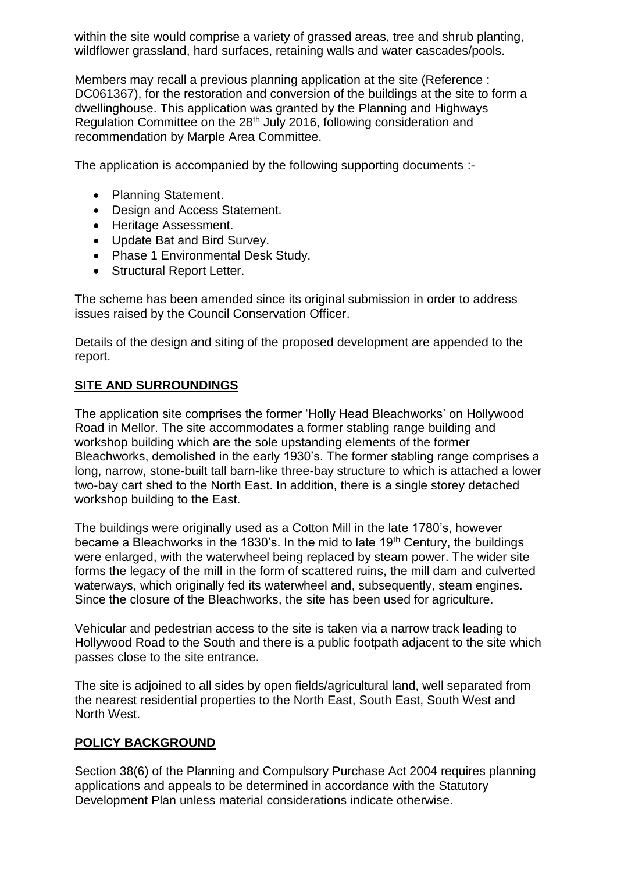within the site would comprise a variety of grassed areas, tree and shrub planting, wildflower grassland, hard surfaces, retaining walls and water cascades/pools.

Members may recall a previous planning application at the site (Reference : DC061367), for the restoration and conversion of the buildings at the site to form a dwellinghouse. This application was granted by the Planning and Highways Regulation Committee on the 28<sup>th</sup> July 2016, following consideration and recommendation by Marple Area Committee.

The application is accompanied by the following supporting documents :-

- Planning Statement.
- Design and Access Statement.
- Heritage Assessment.
- Update Bat and Bird Survey.
- Phase 1 Environmental Desk Study.
- Structural Report Letter.

The scheme has been amended since its original submission in order to address issues raised by the Council Conservation Officer.

Details of the design and siting of the proposed development are appended to the report.

### **SITE AND SURROUNDINGS**

The application site comprises the former 'Holly Head Bleachworks' on Hollywood Road in Mellor. The site accommodates a former stabling range building and workshop building which are the sole upstanding elements of the former Bleachworks, demolished in the early 1930's. The former stabling range comprises a long, narrow, stone-built tall barn-like three-bay structure to which is attached a lower two-bay cart shed to the North East. In addition, there is a single storey detached workshop building to the East.

The buildings were originally used as a Cotton Mill in the late 1780's, however became a Bleachworks in the 1830's. In the mid to late  $19<sup>th</sup>$  Century, the buildings were enlarged, with the waterwheel being replaced by steam power. The wider site forms the legacy of the mill in the form of scattered ruins, the mill dam and culverted waterways, which originally fed its waterwheel and, subsequently, steam engines. Since the closure of the Bleachworks, the site has been used for agriculture.

Vehicular and pedestrian access to the site is taken via a narrow track leading to Hollywood Road to the South and there is a public footpath adjacent to the site which passes close to the site entrance.

The site is adjoined to all sides by open fields/agricultural land, well separated from the nearest residential properties to the North East, South East, South West and North West.

## **POLICY BACKGROUND**

Section 38(6) of the Planning and Compulsory Purchase Act 2004 requires planning applications and appeals to be determined in accordance with the Statutory Development Plan unless material considerations indicate otherwise.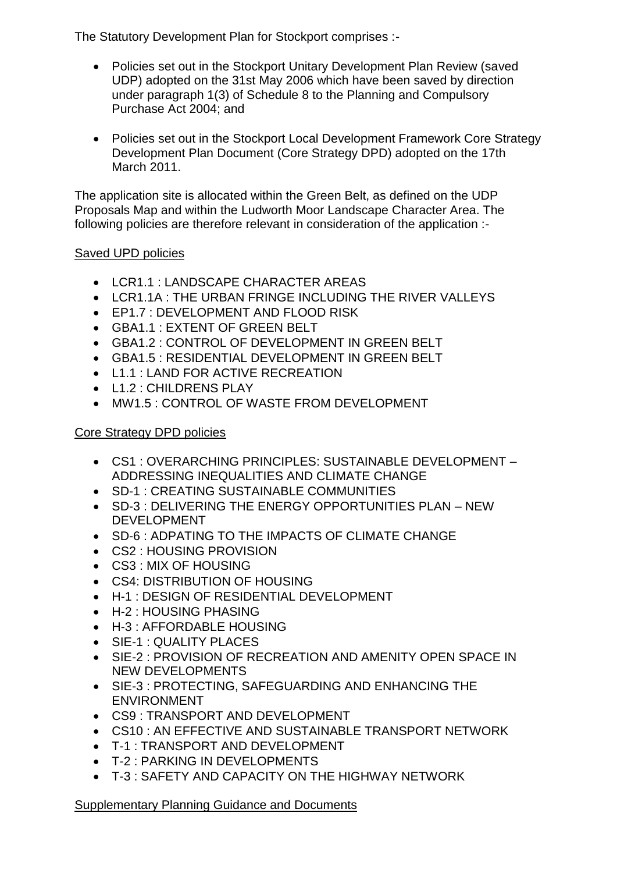The Statutory Development Plan for Stockport comprises :-

- Policies set out in the Stockport Unitary Development Plan Review (saved UDP) adopted on the 31st May 2006 which have been saved by direction under paragraph 1(3) of Schedule 8 to the Planning and Compulsory Purchase Act 2004; and
- Policies set out in the Stockport Local Development Framework Core Strategy Development Plan Document (Core Strategy DPD) adopted on the 17th March 2011.

The application site is allocated within the Green Belt, as defined on the UDP Proposals Map and within the Ludworth Moor Landscape Character Area. The following policies are therefore relevant in consideration of the application :-

## Saved UPD policies

- I CR1.1 : LANDSCAPE CHARACTER AREAS
- LCR1.1A : THE URBAN FRINGE INCLUDING THE RIVER VALLEYS
- **EP1.7 : DEVELOPMENT AND FLOOD RISK**
- GBA1.1 : EXTENT OF GREEN BELT
- GBA1.2 : CONTROL OF DEVELOPMENT IN GREEN BELT
- GBA1.5 : RESIDENTIAL DEVELOPMENT IN GREEN BELT
- L1.1 : LAND FOR ACTIVE RECREATION
- L1.2 : CHILDRENS PLAY
- MW1.5 : CONTROL OF WASTE FROM DEVELOPMENT

# Core Strategy DPD policies

- CS1 : OVERARCHING PRINCIPLES: SUSTAINABLE DEVELOPMENT ADDRESSING INEQUALITIES AND CLIMATE CHANGE
- SD-1 : CREATING SUSTAINABLE COMMUNITIES
- SD-3 : DELIVERING THE ENERGY OPPORTUNITIES PLAN NEW DEVELOPMENT
- SD-6 : ADPATING TO THE IMPACTS OF CLIMATE CHANGE
- CS2 : HOUSING PROVISION
- CS3 : MIX OF HOUSING
- CS4: DISTRIBUTION OF HOUSING
- H-1 : DESIGN OF RESIDENTIAL DEVELOPMENT
- H-2 : HOUSING PHASING
- H-3 : AFFORDABLE HOUSING
- SIE-1 : QUALITY PLACES
- SIE-2 : PROVISION OF RECREATION AND AMENITY OPEN SPACE IN NEW DEVELOPMENTS
- SIE-3 : PROTECTING, SAFEGUARDING AND ENHANCING THE ENVIRONMENT
- CS9 : TRANSPORT AND DEVELOPMENT
- CS10 : AN EFFECTIVE AND SUSTAINABLE TRANSPORT NETWORK
- T-1 : TRANSPORT AND DEVELOPMENT
- T-2 : PARKING IN DEVELOPMENTS
- T-3 : SAFETY AND CAPACITY ON THE HIGHWAY NETWORK

Supplementary Planning Guidance and Documents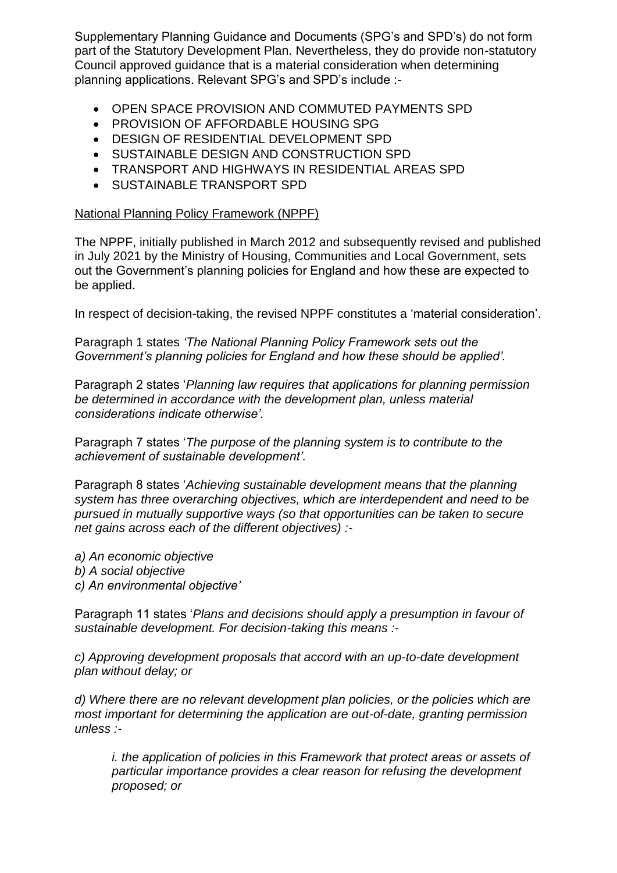Supplementary Planning Guidance and Documents (SPG's and SPD's) do not form part of the Statutory Development Plan. Nevertheless, they do provide non-statutory Council approved guidance that is a material consideration when determining planning applications. Relevant SPG's and SPD's include :-

- OPEN SPACE PROVISION AND COMMUTED PAYMENTS SPD
- **PROVISION OF AFFORDABLE HOUSING SPG**
- DESIGN OF RESIDENTIAL DEVELOPMENT SPD
- SUSTAINABLE DESIGN AND CONSTRUCTION SPD
- TRANSPORT AND HIGHWAYS IN RESIDENTIAL AREAS SPD
- **SUSTAINABLE TRANSPORT SPD**

### National Planning Policy Framework (NPPF)

The NPPF, initially published in March 2012 and subsequently revised and published in July 2021 by the Ministry of Housing, Communities and Local Government, sets out the Government's planning policies for England and how these are expected to be applied.

In respect of decision-taking, the revised NPPF constitutes a 'material consideration'.

Paragraph 1 states *'The National Planning Policy Framework sets out the Government's planning policies for England and how these should be applied'.*

Paragraph 2 states '*Planning law requires that applications for planning permission be determined in accordance with the development plan, unless material considerations indicate otherwise'.*

Paragraph 7 states '*The purpose of the planning system is to contribute to the achievement of sustainable development'.*

Paragraph 8 states '*Achieving sustainable development means that the planning system has three overarching objectives, which are interdependent and need to be pursued in mutually supportive ways (so that opportunities can be taken to secure net gains across each of the different objectives) :-*

*a) An economic objective b) A social objective c) An environmental objective'*

Paragraph 11 states '*Plans and decisions should apply a presumption in favour of sustainable development. For decision-taking this means :-*

*c) Approving development proposals that accord with an up-to-date development plan without delay; or*

*d) Where there are no relevant development plan policies, or the policies which are most important for determining the application are out-of-date, granting permission unless :-*

*i. the application of policies in this Framework that protect areas or assets of particular importance provides a clear reason for refusing the development proposed; or*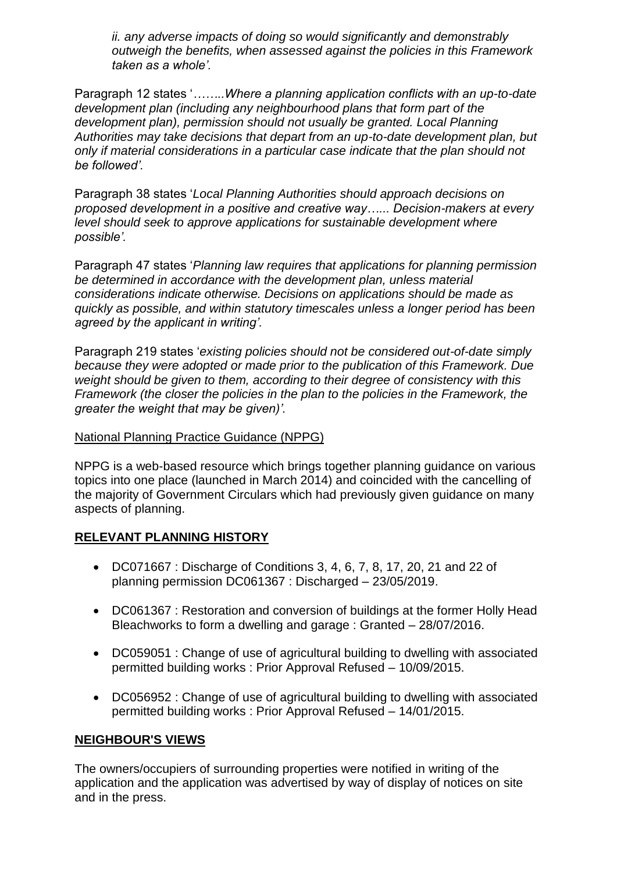*ii. any adverse impacts of doing so would significantly and demonstrably outweigh the benefits, when assessed against the policies in this Framework taken as a whole'.*

Paragraph 12 states '*……..Where a planning application conflicts with an up-to-date development plan (including any neighbourhood plans that form part of the development plan), permission should not usually be granted. Local Planning Authorities may take decisions that depart from an up-to-date development plan, but only if material considerations in a particular case indicate that the plan should not be followed'.*

Paragraph 38 states '*Local Planning Authorities should approach decisions on proposed development in a positive and creative way…... Decision-makers at every level should seek to approve applications for sustainable development where possible'.*

Paragraph 47 states '*Planning law requires that applications for planning permission be determined in accordance with the development plan, unless material considerations indicate otherwise. Decisions on applications should be made as quickly as possible, and within statutory timescales unless a longer period has been agreed by the applicant in writing'.*

Paragraph 219 states '*existing policies should not be considered out-of-date simply because they were adopted or made prior to the publication of this Framework. Due weight should be given to them, according to their degree of consistency with this Framework (the closer the policies in the plan to the policies in the Framework, the greater the weight that may be given)'.* 

### National Planning Practice Guidance (NPPG)

NPPG is a web-based resource which brings together planning guidance on various topics into one place (launched in March 2014) and coincided with the cancelling of the majority of Government Circulars which had previously given guidance on many aspects of planning.

### **RELEVANT PLANNING HISTORY**

- DC071667 : Discharge of Conditions 3, 4, 6, 7, 8, 17, 20, 21 and 22 of planning permission DC061367 : Discharged – 23/05/2019.
- DC061367 : Restoration and conversion of buildings at the former Holly Head Bleachworks to form a dwelling and garage : Granted – 28/07/2016.
- DC059051 : Change of use of agricultural building to dwelling with associated permitted building works : Prior Approval Refused – 10/09/2015.
- DC056952 : Change of use of agricultural building to dwelling with associated permitted building works : Prior Approval Refused – 14/01/2015.

### **NEIGHBOUR'S VIEWS**

The owners/occupiers of surrounding properties were notified in writing of the application and the application was advertised by way of display of notices on site and in the press.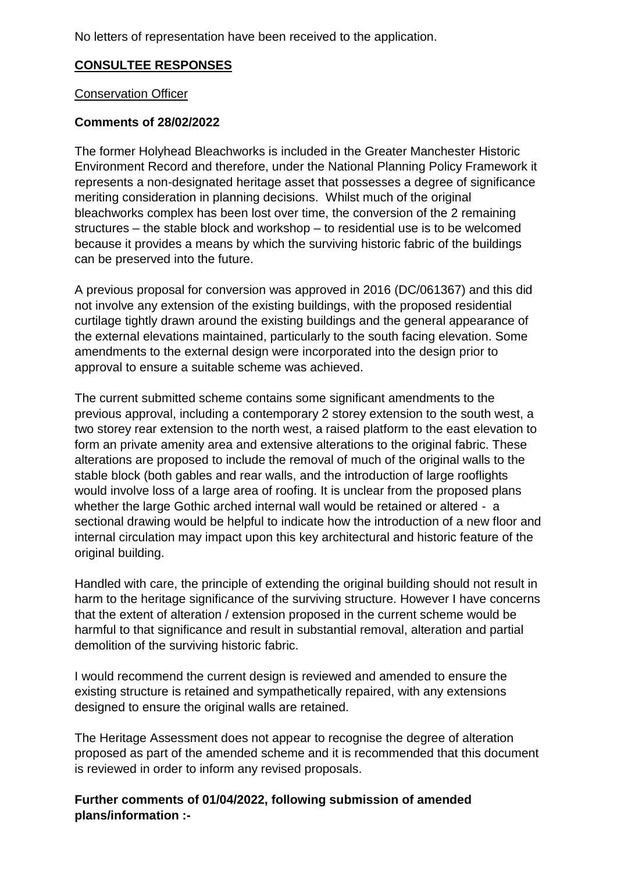No letters of representation have been received to the application.

## **CONSULTEE RESPONSES**

### Conservation Officer

## **Comments of 28/02/2022**

The former Holyhead Bleachworks is included in the Greater Manchester Historic Environment Record and therefore, under the National Planning Policy Framework it represents a non-designated heritage asset that possesses a degree of significance meriting consideration in planning decisions. Whilst much of the original bleachworks complex has been lost over time, the conversion of the 2 remaining structures – the stable block and workshop – to residential use is to be welcomed because it provides a means by which the surviving historic fabric of the buildings can be preserved into the future.

A previous proposal for conversion was approved in 2016 (DC/061367) and this did not involve any extension of the existing buildings, with the proposed residential curtilage tightly drawn around the existing buildings and the general appearance of the external elevations maintained, particularly to the south facing elevation. Some amendments to the external design were incorporated into the design prior to approval to ensure a suitable scheme was achieved.

The current submitted scheme contains some significant amendments to the previous approval, including a contemporary 2 storey extension to the south west, a two storey rear extension to the north west, a raised platform to the east elevation to form an private amenity area and extensive alterations to the original fabric. These alterations are proposed to include the removal of much of the original walls to the stable block (both gables and rear walls, and the introduction of large rooflights would involve loss of a large area of roofing. It is unclear from the proposed plans whether the large Gothic arched internal wall would be retained or altered - a sectional drawing would be helpful to indicate how the introduction of a new floor and internal circulation may impact upon this key architectural and historic feature of the original building.

Handled with care, the principle of extending the original building should not result in harm to the heritage significance of the surviving structure. However I have concerns that the extent of alteration / extension proposed in the current scheme would be harmful to that significance and result in substantial removal, alteration and partial demolition of the surviving historic fabric.

I would recommend the current design is reviewed and amended to ensure the existing structure is retained and sympathetically repaired, with any extensions designed to ensure the original walls are retained.

The Heritage Assessment does not appear to recognise the degree of alteration proposed as part of the amended scheme and it is recommended that this document is reviewed in order to inform any revised proposals.

**Further comments of 01/04/2022, following submission of amended plans/information :-**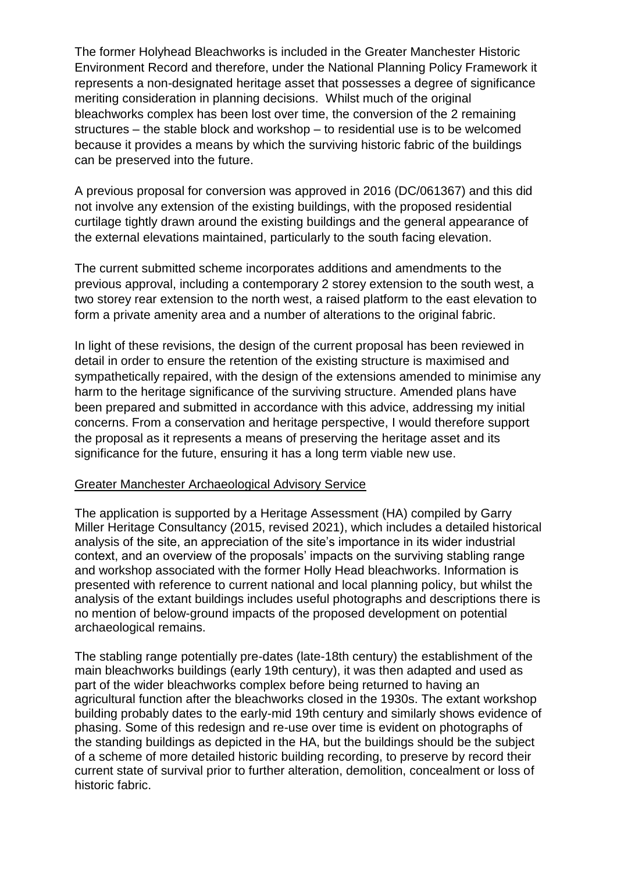The former Holyhead Bleachworks is included in the Greater Manchester Historic Environment Record and therefore, under the National Planning Policy Framework it represents a non-designated heritage asset that possesses a degree of significance meriting consideration in planning decisions. Whilst much of the original bleachworks complex has been lost over time, the conversion of the 2 remaining structures – the stable block and workshop – to residential use is to be welcomed because it provides a means by which the surviving historic fabric of the buildings can be preserved into the future.

A previous proposal for conversion was approved in 2016 (DC/061367) and this did not involve any extension of the existing buildings, with the proposed residential curtilage tightly drawn around the existing buildings and the general appearance of the external elevations maintained, particularly to the south facing elevation.

The current submitted scheme incorporates additions and amendments to the previous approval, including a contemporary 2 storey extension to the south west, a two storey rear extension to the north west, a raised platform to the east elevation to form a private amenity area and a number of alterations to the original fabric.

In light of these revisions, the design of the current proposal has been reviewed in detail in order to ensure the retention of the existing structure is maximised and sympathetically repaired, with the design of the extensions amended to minimise any harm to the heritage significance of the surviving structure. Amended plans have been prepared and submitted in accordance with this advice, addressing my initial concerns. From a conservation and heritage perspective, I would therefore support the proposal as it represents a means of preserving the heritage asset and its significance for the future, ensuring it has a long term viable new use.

#### Greater Manchester Archaeological Advisory Service

The application is supported by a Heritage Assessment (HA) compiled by Garry Miller Heritage Consultancy (2015, revised 2021), which includes a detailed historical analysis of the site, an appreciation of the site's importance in its wider industrial context, and an overview of the proposals' impacts on the surviving stabling range and workshop associated with the former Holly Head bleachworks. Information is presented with reference to current national and local planning policy, but whilst the analysis of the extant buildings includes useful photographs and descriptions there is no mention of below-ground impacts of the proposed development on potential archaeological remains.

The stabling range potentially pre-dates (late-18th century) the establishment of the main bleachworks buildings (early 19th century), it was then adapted and used as part of the wider bleachworks complex before being returned to having an agricultural function after the bleachworks closed in the 1930s. The extant workshop building probably dates to the early-mid 19th century and similarly shows evidence of phasing. Some of this redesign and re-use over time is evident on photographs of the standing buildings as depicted in the HA, but the buildings should be the subject of a scheme of more detailed historic building recording, to preserve by record their current state of survival prior to further alteration, demolition, concealment or loss of historic fabric.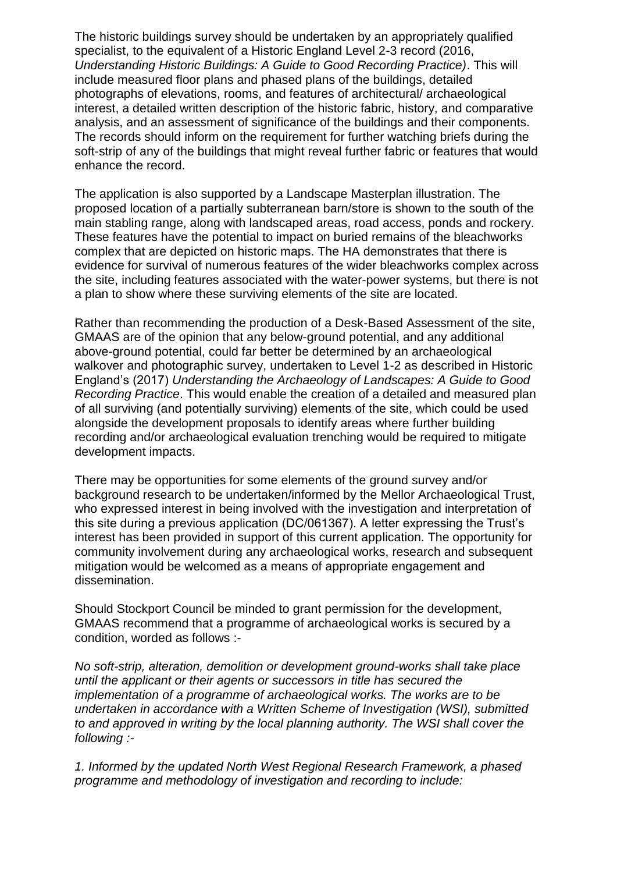The historic buildings survey should be undertaken by an appropriately qualified specialist, to the equivalent of a Historic England Level 2-3 record (2016, *Understanding Historic Buildings: A Guide to Good Recording Practice)*. This will include measured floor plans and phased plans of the buildings, detailed photographs of elevations, rooms, and features of architectural/ archaeological interest, a detailed written description of the historic fabric, history, and comparative analysis, and an assessment of significance of the buildings and their components. The records should inform on the requirement for further watching briefs during the soft-strip of any of the buildings that might reveal further fabric or features that would enhance the record.

The application is also supported by a Landscape Masterplan illustration. The proposed location of a partially subterranean barn/store is shown to the south of the main stabling range, along with landscaped areas, road access, ponds and rockery. These features have the potential to impact on buried remains of the bleachworks complex that are depicted on historic maps. The HA demonstrates that there is evidence for survival of numerous features of the wider bleachworks complex across the site, including features associated with the water-power systems, but there is not a plan to show where these surviving elements of the site are located.

Rather than recommending the production of a Desk-Based Assessment of the site, GMAAS are of the opinion that any below-ground potential, and any additional above-ground potential, could far better be determined by an archaeological walkover and photographic survey, undertaken to Level 1-2 as described in Historic England's (2017) *Understanding the Archaeology of Landscapes: A Guide to Good Recording Practice*. This would enable the creation of a detailed and measured plan of all surviving (and potentially surviving) elements of the site, which could be used alongside the development proposals to identify areas where further building recording and/or archaeological evaluation trenching would be required to mitigate development impacts.

There may be opportunities for some elements of the ground survey and/or background research to be undertaken/informed by the Mellor Archaeological Trust, who expressed interest in being involved with the investigation and interpretation of this site during a previous application (DC/061367). A letter expressing the Trust's interest has been provided in support of this current application. The opportunity for community involvement during any archaeological works, research and subsequent mitigation would be welcomed as a means of appropriate engagement and dissemination.

Should Stockport Council be minded to grant permission for the development, GMAAS recommend that a programme of archaeological works is secured by a condition, worded as follows :-

*No soft-strip, alteration, demolition or development ground-works shall take place until the applicant or their agents or successors in title has secured the implementation of a programme of archaeological works. The works are to be undertaken in accordance with a Written Scheme of Investigation (WSI), submitted to and approved in writing by the local planning authority. The WSI shall cover the following :-*

*1. Informed by the updated North West Regional Research Framework, a phased programme and methodology of investigation and recording to include:*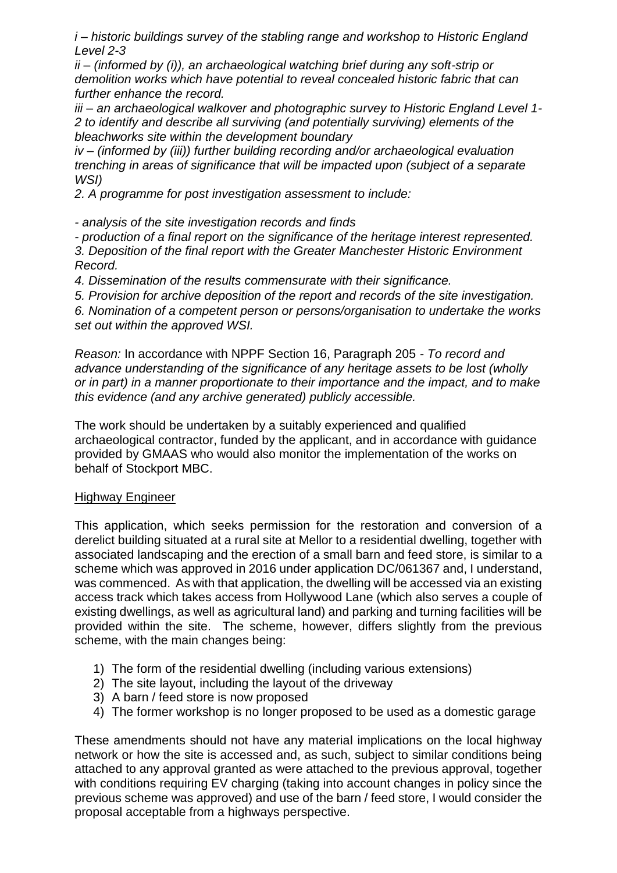*i – historic buildings survey of the stabling range and workshop to Historic England Level 2-3* 

*ii – (informed by (i)), an archaeological watching brief during any soft-strip or demolition works which have potential to reveal concealed historic fabric that can further enhance the record.* 

*iii – an archaeological walkover and photographic survey to Historic England Level 1- 2 to identify and describe all surviving (and potentially surviving) elements of the bleachworks site within the development boundary* 

*iv – (informed by (iii)) further building recording and/or archaeological evaluation trenching in areas of significance that will be impacted upon (subject of a separate WSI)* 

*2. A programme for post investigation assessment to include:* 

*- analysis of the site investigation records and finds* 

*- production of a final report on the significance of the heritage interest represented. 3. Deposition of the final report with the Greater Manchester Historic Environment Record.* 

*4. Dissemination of the results commensurate with their significance.* 

*5. Provision for archive deposition of the report and records of the site investigation.* 

*6. Nomination of a competent person or persons/organisation to undertake the works set out within the approved WSI.* 

*Reason:* In accordance with NPPF Section 16, Paragraph 205 *- To record and advance understanding of the significance of any heritage assets to be lost (wholly or in part) in a manner proportionate to their importance and the impact, and to make this evidence (and any archive generated) publicly accessible.* 

The work should be undertaken by a suitably experienced and qualified archaeological contractor, funded by the applicant, and in accordance with guidance provided by GMAAS who would also monitor the implementation of the works on behalf of Stockport MBC.

### Highway Engineer

This application, which seeks permission for the restoration and conversion of a derelict building situated at a rural site at Mellor to a residential dwelling, together with associated landscaping and the erection of a small barn and feed store, is similar to a scheme which was approved in 2016 under application DC/061367 and, I understand, was commenced. As with that application, the dwelling will be accessed via an existing access track which takes access from Hollywood Lane (which also serves a couple of existing dwellings, as well as agricultural land) and parking and turning facilities will be provided within the site. The scheme, however, differs slightly from the previous scheme, with the main changes being:

- 1) The form of the residential dwelling (including various extensions)
- 2) The site layout, including the layout of the driveway
- 3) A barn / feed store is now proposed
- 4) The former workshop is no longer proposed to be used as a domestic garage

These amendments should not have any material implications on the local highway network or how the site is accessed and, as such, subject to similar conditions being attached to any approval granted as were attached to the previous approval, together with conditions requiring EV charging (taking into account changes in policy since the previous scheme was approved) and use of the barn / feed store, I would consider the proposal acceptable from a highways perspective.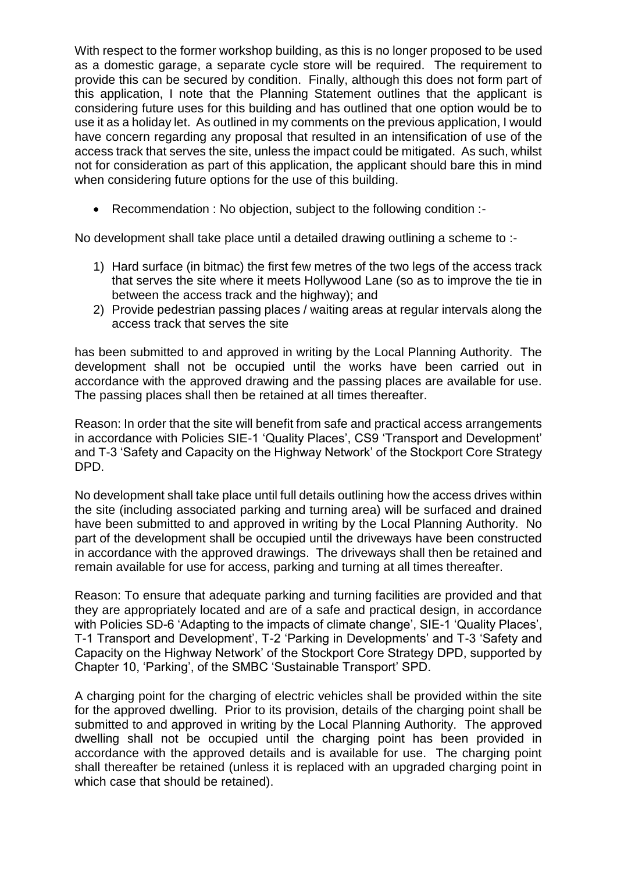With respect to the former workshop building, as this is no longer proposed to be used as a domestic garage, a separate cycle store will be required. The requirement to provide this can be secured by condition. Finally, although this does not form part of this application, I note that the Planning Statement outlines that the applicant is considering future uses for this building and has outlined that one option would be to use it as a holiday let. As outlined in my comments on the previous application, I would have concern regarding any proposal that resulted in an intensification of use of the access track that serves the site, unless the impact could be mitigated. As such, whilst not for consideration as part of this application, the applicant should bare this in mind when considering future options for the use of this building.

• Recommendation : No objection, subject to the following condition :-

No development shall take place until a detailed drawing outlining a scheme to :-

- 1) Hard surface (in bitmac) the first few metres of the two legs of the access track that serves the site where it meets Hollywood Lane (so as to improve the tie in between the access track and the highway); and
- 2) Provide pedestrian passing places / waiting areas at regular intervals along the access track that serves the site

has been submitted to and approved in writing by the Local Planning Authority. The development shall not be occupied until the works have been carried out in accordance with the approved drawing and the passing places are available for use. The passing places shall then be retained at all times thereafter.

Reason: In order that the site will benefit from safe and practical access arrangements in accordance with Policies SIE-1 'Quality Places', CS9 'Transport and Development' and T-3 'Safety and Capacity on the Highway Network' of the Stockport Core Strategy DPD.

No development shall take place until full details outlining how the access drives within the site (including associated parking and turning area) will be surfaced and drained have been submitted to and approved in writing by the Local Planning Authority. No part of the development shall be occupied until the driveways have been constructed in accordance with the approved drawings. The driveways shall then be retained and remain available for use for access, parking and turning at all times thereafter.

Reason: To ensure that adequate parking and turning facilities are provided and that they are appropriately located and are of a safe and practical design, in accordance with Policies SD-6 'Adapting to the impacts of climate change', SIE-1 'Quality Places', T-1 Transport and Development', T-2 'Parking in Developments' and T-3 'Safety and Capacity on the Highway Network' of the Stockport Core Strategy DPD, supported by Chapter 10, 'Parking', of the SMBC 'Sustainable Transport' SPD.

A charging point for the charging of electric vehicles shall be provided within the site for the approved dwelling. Prior to its provision, details of the charging point shall be submitted to and approved in writing by the Local Planning Authority. The approved dwelling shall not be occupied until the charging point has been provided in accordance with the approved details and is available for use. The charging point shall thereafter be retained (unless it is replaced with an upgraded charging point in which case that should be retained).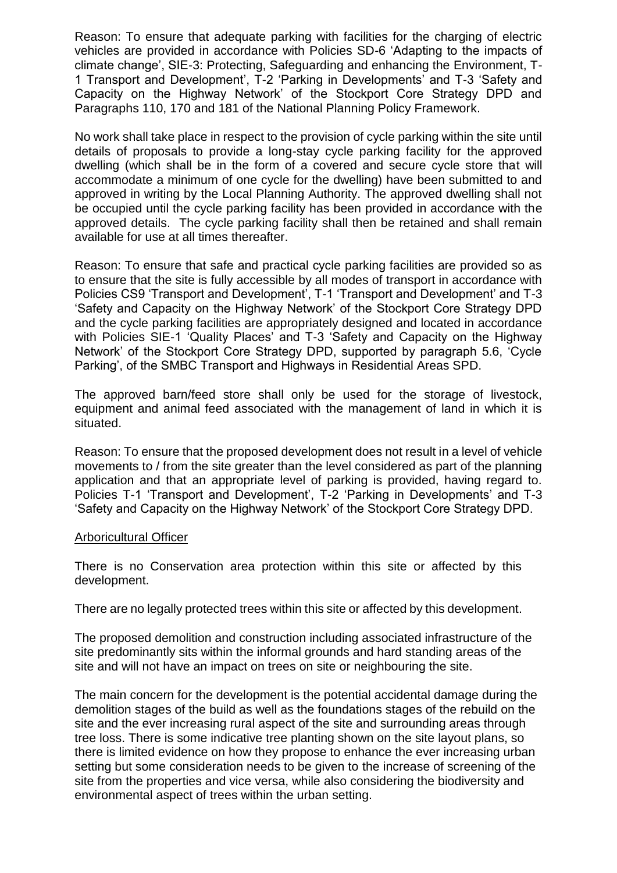Reason: To ensure that adequate parking with facilities for the charging of electric vehicles are provided in accordance with Policies SD-6 'Adapting to the impacts of climate change', SIE-3: Protecting, Safeguarding and enhancing the Environment, T-1 Transport and Development', T-2 'Parking in Developments' and T-3 'Safety and Capacity on the Highway Network' of the Stockport Core Strategy DPD and Paragraphs 110, 170 and 181 of the National Planning Policy Framework.

No work shall take place in respect to the provision of cycle parking within the site until details of proposals to provide a long-stay cycle parking facility for the approved dwelling (which shall be in the form of a covered and secure cycle store that will accommodate a minimum of one cycle for the dwelling) have been submitted to and approved in writing by the Local Planning Authority. The approved dwelling shall not be occupied until the cycle parking facility has been provided in accordance with the approved details. The cycle parking facility shall then be retained and shall remain available for use at all times thereafter.

Reason: To ensure that safe and practical cycle parking facilities are provided so as to ensure that the site is fully accessible by all modes of transport in accordance with Policies CS9 'Transport and Development', T-1 'Transport and Development' and T-3 'Safety and Capacity on the Highway Network' of the Stockport Core Strategy DPD and the cycle parking facilities are appropriately designed and located in accordance with Policies SIE-1 'Quality Places' and T-3 'Safety and Capacity on the Highway Network' of the Stockport Core Strategy DPD, supported by paragraph 5.6, 'Cycle Parking', of the SMBC Transport and Highways in Residential Areas SPD.

The approved barn/feed store shall only be used for the storage of livestock, equipment and animal feed associated with the management of land in which it is situated.

Reason: To ensure that the proposed development does not result in a level of vehicle movements to / from the site greater than the level considered as part of the planning application and that an appropriate level of parking is provided, having regard to. Policies T-1 'Transport and Development', T-2 'Parking in Developments' and T-3 'Safety and Capacity on the Highway Network' of the Stockport Core Strategy DPD.

#### Arboricultural Officer

There is no Conservation area protection within this site or affected by this development.

There are no legally protected trees within this site or affected by this development.

The proposed demolition and construction including associated infrastructure of the site predominantly sits within the informal grounds and hard standing areas of the site and will not have an impact on trees on site or neighbouring the site.

The main concern for the development is the potential accidental damage during the demolition stages of the build as well as the foundations stages of the rebuild on the site and the ever increasing rural aspect of the site and surrounding areas through tree loss. There is some indicative tree planting shown on the site layout plans, so there is limited evidence on how they propose to enhance the ever increasing urban setting but some consideration needs to be given to the increase of screening of the site from the properties and vice versa, while also considering the biodiversity and environmental aspect of trees within the urban setting.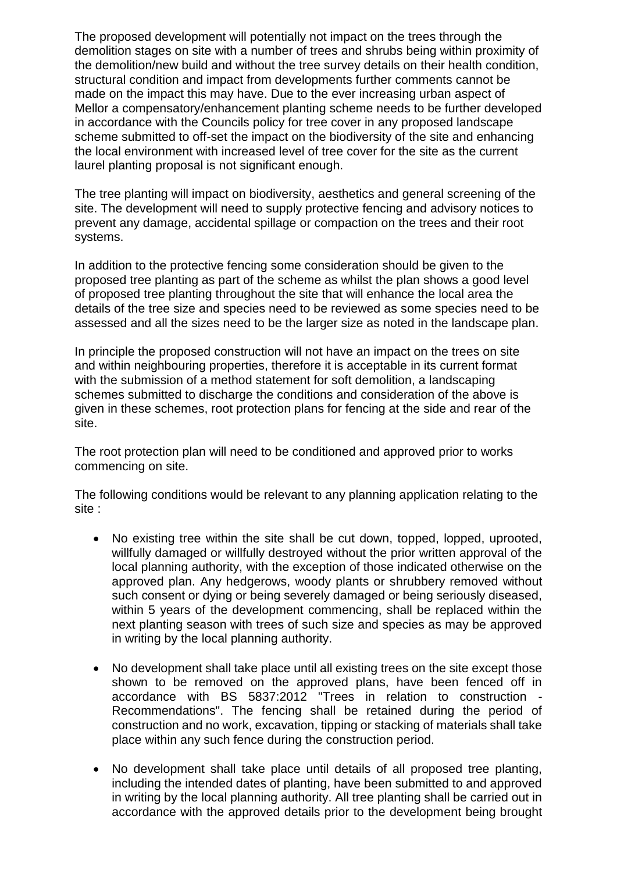The proposed development will potentially not impact on the trees through the demolition stages on site with a number of trees and shrubs being within proximity of the demolition/new build and without the tree survey details on their health condition, structural condition and impact from developments further comments cannot be made on the impact this may have. Due to the ever increasing urban aspect of Mellor a compensatory/enhancement planting scheme needs to be further developed in accordance with the Councils policy for tree cover in any proposed landscape scheme submitted to off-set the impact on the biodiversity of the site and enhancing the local environment with increased level of tree cover for the site as the current laurel planting proposal is not significant enough.

The tree planting will impact on biodiversity, aesthetics and general screening of the site. The development will need to supply protective fencing and advisory notices to prevent any damage, accidental spillage or compaction on the trees and their root systems.

In addition to the protective fencing some consideration should be given to the proposed tree planting as part of the scheme as whilst the plan shows a good level of proposed tree planting throughout the site that will enhance the local area the details of the tree size and species need to be reviewed as some species need to be assessed and all the sizes need to be the larger size as noted in the landscape plan.

In principle the proposed construction will not have an impact on the trees on site and within neighbouring properties, therefore it is acceptable in its current format with the submission of a method statement for soft demolition, a landscaping schemes submitted to discharge the conditions and consideration of the above is given in these schemes, root protection plans for fencing at the side and rear of the site.

The root protection plan will need to be conditioned and approved prior to works commencing on site.

The following conditions would be relevant to any planning application relating to the site :

- No existing tree within the site shall be cut down, topped, lopped, uprooted, willfully damaged or willfully destroyed without the prior written approval of the local planning authority, with the exception of those indicated otherwise on the approved plan. Any hedgerows, woody plants or shrubbery removed without such consent or dying or being severely damaged or being seriously diseased, within 5 years of the development commencing, shall be replaced within the next planting season with trees of such size and species as may be approved in writing by the local planning authority.
- No development shall take place until all existing trees on the site except those shown to be removed on the approved plans, have been fenced off in accordance with BS 5837:2012 "Trees in relation to construction - Recommendations". The fencing shall be retained during the period of construction and no work, excavation, tipping or stacking of materials shall take place within any such fence during the construction period.
- No development shall take place until details of all proposed tree planting, including the intended dates of planting, have been submitted to and approved in writing by the local planning authority. All tree planting shall be carried out in accordance with the approved details prior to the development being brought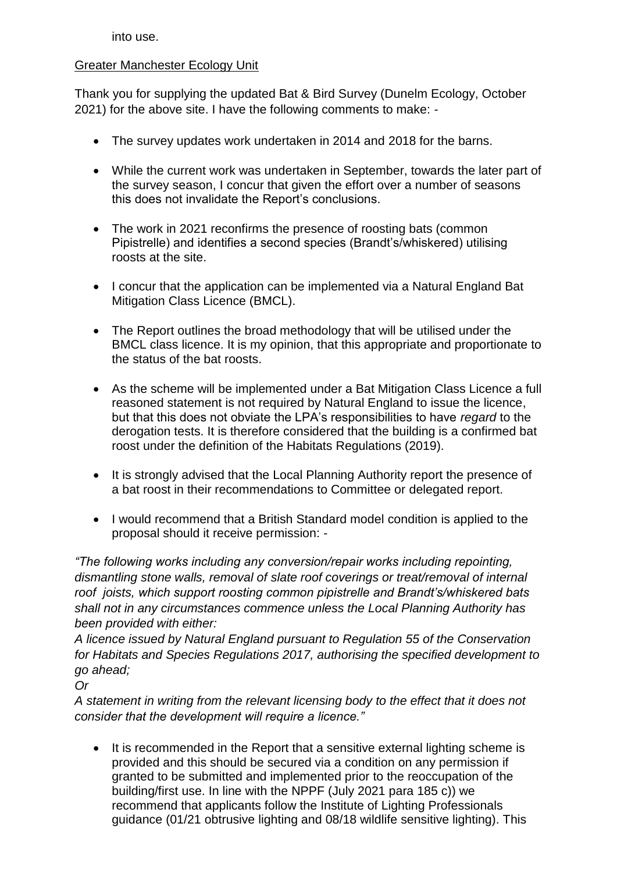into use.

### Greater Manchester Ecology Unit

Thank you for supplying the updated Bat & Bird Survey (Dunelm Ecology, October 2021) for the above site. I have the following comments to make: -

- The survey updates work undertaken in 2014 and 2018 for the barns.
- While the current work was undertaken in September, towards the later part of the survey season, I concur that given the effort over a number of seasons this does not invalidate the Report's conclusions.
- The work in 2021 reconfirms the presence of roosting bats (common Pipistrelle) and identifies a second species (Brandt's/whiskered) utilising roosts at the site.
- I concur that the application can be implemented via a Natural England Bat Mitigation Class Licence (BMCL).
- The Report outlines the broad methodology that will be utilised under the BMCL class licence. It is my opinion, that this appropriate and proportionate to the status of the bat roosts.
- As the scheme will be implemented under a Bat Mitigation Class Licence a full reasoned statement is [not required](https://eur01.safelinks.protection.outlook.com/?url=https%3A%2F%2Fwww.gov.uk%2Fgovernment%2Fpublications%2Freasoned-statement-to-support-a-mitigation-licence-application%2Fprotected-species-licences-when-to-include-a-reasoned-statement-with-your-application&data=04%7C01%7Cplanning.DC%40Stockport.gov.uk%7Cb071f6ab8b204cbf4a4c08d9eb2952d7%7Ca05ef69e61494fbaa40cdf338810f644%7C0%7C0%7C637799384988656231%7CUnknown%7CTWFpbGZsb3d8eyJWIjoiMC4wLjAwMDAiLCJQIjoiV2luMzIiLCJBTiI6Ik1haWwiLCJXVCI6Mn0%3D%7C3000&sdata=bQ7pIWsBIqNwaCcvZvajt1LIpFHrGVaIYdZ40uEfaLw%3D&reserved=0) by Natural England to issue the licence, but that this does not obviate the LPA's responsibilities to have *regard* to the derogation tests. It is therefore considered that the building is a confirmed bat roost under the definition of the Habitats Regulations (2019).
- It is strongly advised that the Local Planning Authority report the presence of a bat roost in their recommendations to Committee or delegated report.
- I would recommend that a British Standard model condition is applied to the proposal should it receive permission: -

*"The following works including any conversion/repair works including repointing, dismantling stone walls, removal of slate roof coverings or treat/removal of internal roof joists, which support roosting common pipistrelle and Brandt's/whiskered bats shall not in any circumstances commence unless the Local Planning Authority has been provided with either:*

*A licence issued by Natural England pursuant to Regulation 55 of the Conservation for Habitats and Species Regulations 2017, authorising the specified development to go ahead;*

*Or*

*A statement in writing from the relevant licensing body to the effect that it does not consider that the development will require a licence."*

• It is recommended in the Report that a sensitive external lighting scheme is provided and this should be secured via a condition on any permission if granted to be submitted and implemented prior to the reoccupation of the building/first use. In line with the NPPF (July 2021 para 185 c)) we recommend that applicants follow the Institute of Lighting Professionals guidance (01/21 obtrusive lighting and 08/18 wildlife sensitive lighting). This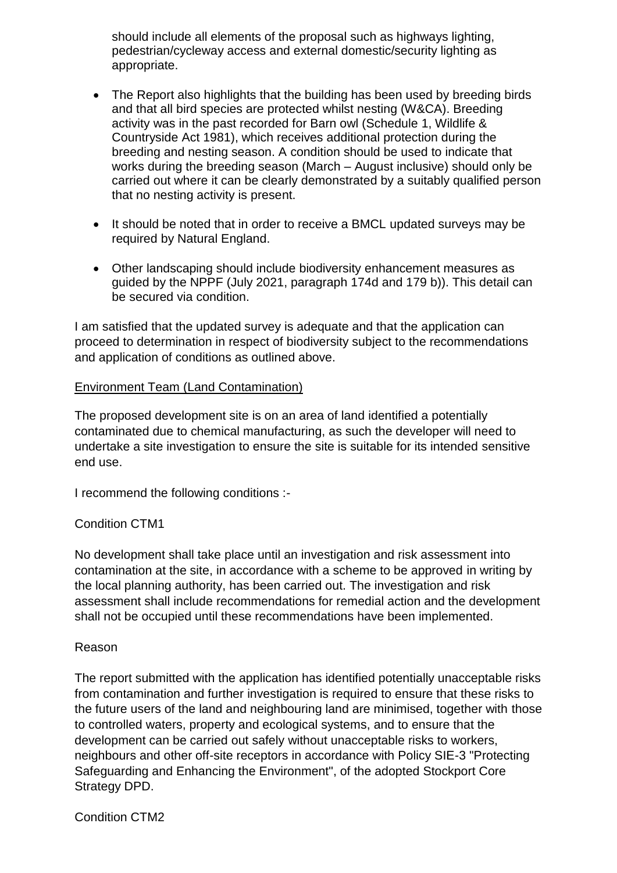should include all elements of the proposal such as highways lighting, pedestrian/cycleway access and external domestic/security lighting as appropriate.

- The Report also highlights that the building has been used by breeding birds and that all bird species are protected whilst nesting (W&CA). Breeding activity was in the past recorded for Barn owl (Schedule 1, Wildlife & Countryside Act 1981), which receives additional protection during the breeding and nesting season. A condition should be used to indicate that works during the breeding season (March – August inclusive) should only be carried out where it can be clearly demonstrated by a suitably qualified person that no nesting activity is present.
- It should be noted that in order to receive a BMCL updated surveys may be required by Natural England.
- Other landscaping should include biodiversity enhancement measures as guided by the NPPF (July 2021, paragraph 174d and 179 b)). This detail can be secured via condition.

I am satisfied that the updated survey is adequate and that the application can proceed to determination in respect of biodiversity subject to the recommendations and application of conditions as outlined above.

### Environment Team (Land Contamination)

The proposed development site is on an area of land identified a potentially contaminated due to chemical manufacturing, as such the developer will need to undertake a site investigation to ensure the site is suitable for its intended sensitive end use.

I recommend the following conditions :-

### Condition CTM1

No development shall take place until an investigation and risk assessment into contamination at the site, in accordance with a scheme to be approved in writing by the local planning authority, has been carried out. The investigation and risk assessment shall include recommendations for remedial action and the development shall not be occupied until these recommendations have been implemented.

### Reason

The report submitted with the application has identified potentially unacceptable risks from contamination and further investigation is required to ensure that these risks to the future users of the land and neighbouring land are minimised, together with those to controlled waters, property and ecological systems, and to ensure that the development can be carried out safely without unacceptable risks to workers, neighbours and other off-site receptors in accordance with Policy SIE-3 "Protecting Safeguarding and Enhancing the Environment", of the adopted Stockport Core Strategy DPD.

Condition CTM2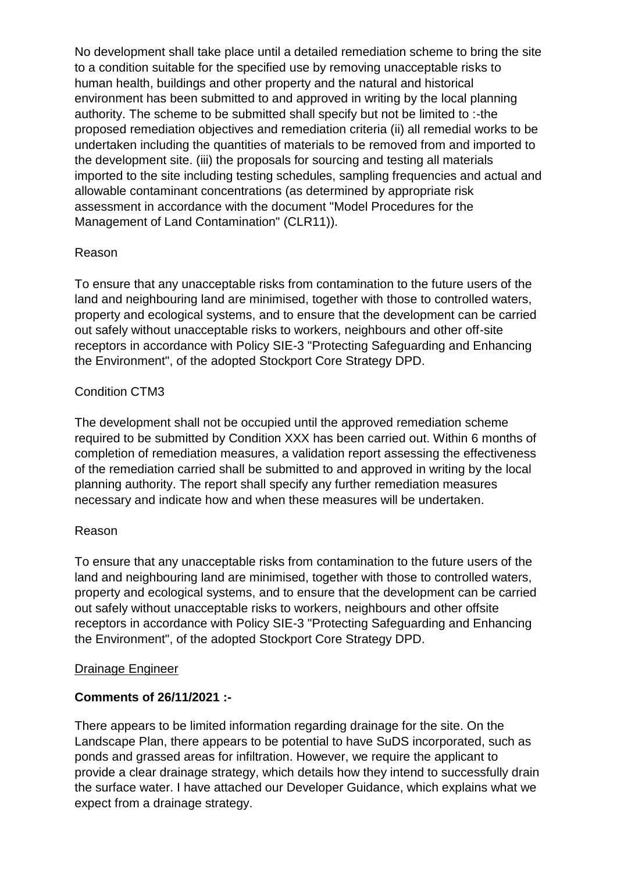No development shall take place until a detailed remediation scheme to bring the site to a condition suitable for the specified use by removing unacceptable risks to human health, buildings and other property and the natural and historical environment has been submitted to and approved in writing by the local planning authority. The scheme to be submitted shall specify but not be limited to :-the proposed remediation objectives and remediation criteria (ii) all remedial works to be undertaken including the quantities of materials to be removed from and imported to the development site. (iii) the proposals for sourcing and testing all materials imported to the site including testing schedules, sampling frequencies and actual and allowable contaminant concentrations (as determined by appropriate risk assessment in accordance with the document "Model Procedures for the Management of Land Contamination" (CLR11)).

## Reason

To ensure that any unacceptable risks from contamination to the future users of the land and neighbouring land are minimised, together with those to controlled waters, property and ecological systems, and to ensure that the development can be carried out safely without unacceptable risks to workers, neighbours and other off-site receptors in accordance with Policy SIE-3 "Protecting Safeguarding and Enhancing the Environment", of the adopted Stockport Core Strategy DPD.

## Condition CTM3

The development shall not be occupied until the approved remediation scheme required to be submitted by Condition XXX has been carried out. Within 6 months of completion of remediation measures, a validation report assessing the effectiveness of the remediation carried shall be submitted to and approved in writing by the local planning authority. The report shall specify any further remediation measures necessary and indicate how and when these measures will be undertaken.

## Reason

To ensure that any unacceptable risks from contamination to the future users of the land and neighbouring land are minimised, together with those to controlled waters, property and ecological systems, and to ensure that the development can be carried out safely without unacceptable risks to workers, neighbours and other offsite receptors in accordance with Policy SIE-3 "Protecting Safeguarding and Enhancing the Environment", of the adopted Stockport Core Strategy DPD.

## Drainage Engineer

## **Comments of 26/11/2021 :-**

There appears to be limited information regarding drainage for the site. On the Landscape Plan, there appears to be potential to have SuDS incorporated, such as ponds and grassed areas for infiltration. However, we require the applicant to provide a clear drainage strategy, which details how they intend to successfully drain the surface water. I have attached our Developer Guidance, which explains what we expect from a drainage strategy.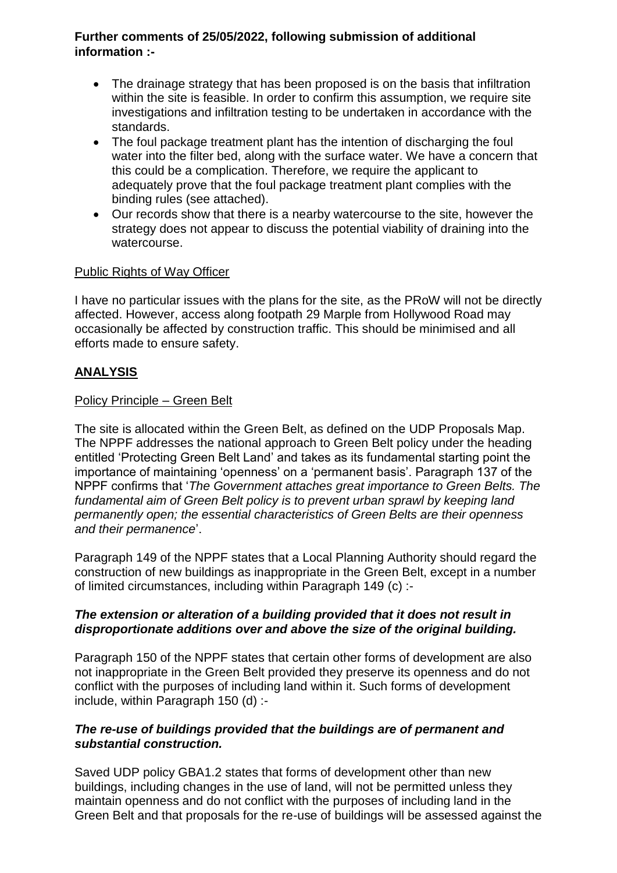### **Further comments of 25/05/2022, following submission of additional information :-**

- The drainage strategy that has been proposed is on the basis that infiltration within the site is feasible. In order to confirm this assumption, we require site investigations and infiltration testing to be undertaken in accordance with the standards.
- The foul package treatment plant has the intention of discharging the foul water into the filter bed, along with the surface water. We have a concern that this could be a complication. Therefore, we require the applicant to adequately prove that the foul package treatment plant complies with the binding rules (see attached).
- Our records show that there is a nearby watercourse to the site, however the strategy does not appear to discuss the potential viability of draining into the watercourse.

### Public Rights of Way Officer

I have no particular issues with the plans for the site, as the PRoW will not be directly affected. However, access along footpath 29 Marple from Hollywood Road may occasionally be affected by construction traffic. This should be minimised and all efforts made to ensure safety.

## **ANALYSIS**

#### Policy Principle – Green Belt

The site is allocated within the Green Belt, as defined on the UDP Proposals Map. The NPPF addresses the national approach to Green Belt policy under the heading entitled 'Protecting Green Belt Land' and takes as its fundamental starting point the importance of maintaining 'openness' on a 'permanent basis'. Paragraph 137 of the NPPF confirms that '*The Government attaches great importance to Green Belts. The fundamental aim of Green Belt policy is to prevent urban sprawl by keeping land permanently open; the essential characteristics of Green Belts are their openness and their permanence*'.

Paragraph 149 of the NPPF states that a Local Planning Authority should regard the construction of new buildings as inappropriate in the Green Belt, except in a number of limited circumstances, including within Paragraph 149 (c) :-

### *The extension or alteration of a building provided that it does not result in disproportionate additions over and above the size of the original building.*

Paragraph 150 of the NPPF states that certain other forms of development are also not inappropriate in the Green Belt provided they preserve its openness and do not conflict with the purposes of including land within it. Such forms of development include, within Paragraph 150 (d) :-

### *The re-use of buildings provided that the buildings are of permanent and substantial construction.*

Saved UDP policy GBA1.2 states that forms of development other than new buildings, including changes in the use of land, will not be permitted unless they maintain openness and do not conflict with the purposes of including land in the Green Belt and that proposals for the re-use of buildings will be assessed against the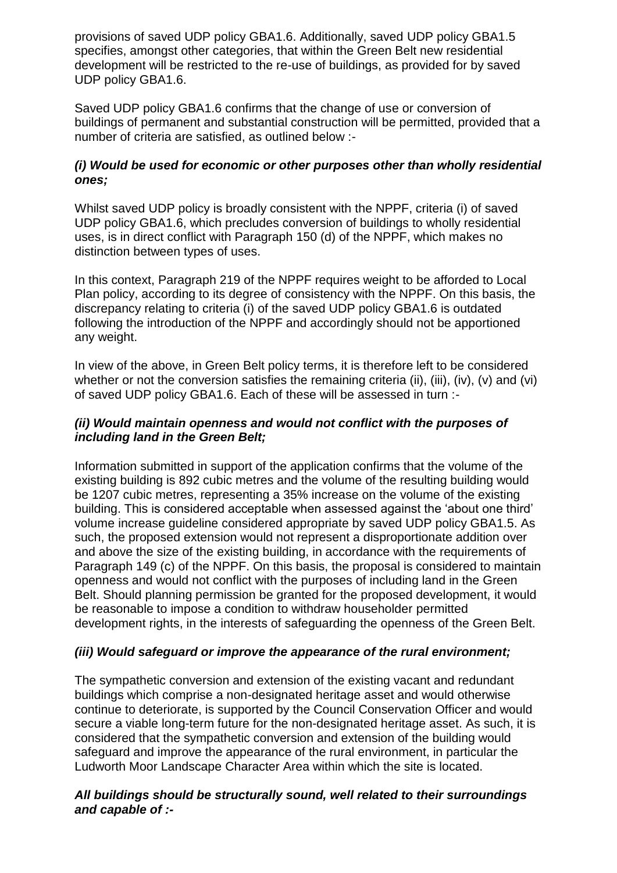provisions of saved UDP policy GBA1.6. Additionally, saved UDP policy GBA1.5 specifies, amongst other categories, that within the Green Belt new residential development will be restricted to the re-use of buildings, as provided for by saved UDP policy GBA1.6.

Saved UDP policy GBA1.6 confirms that the change of use or conversion of buildings of permanent and substantial construction will be permitted, provided that a number of criteria are satisfied, as outlined below :-

## *(i) Would be used for economic or other purposes other than wholly residential ones;*

Whilst saved UDP policy is broadly consistent with the NPPF, criteria (i) of saved UDP policy GBA1.6, which precludes conversion of buildings to wholly residential uses, is in direct conflict with Paragraph 150 (d) of the NPPF, which makes no distinction between types of uses.

In this context, Paragraph 219 of the NPPF requires weight to be afforded to Local Plan policy, according to its degree of consistency with the NPPF. On this basis, the discrepancy relating to criteria (i) of the saved UDP policy GBA1.6 is outdated following the introduction of the NPPF and accordingly should not be apportioned any weight.

In view of the above, in Green Belt policy terms, it is therefore left to be considered whether or not the conversion satisfies the remaining criteria (ii), (iii), (iv), (v) and (vi) of saved UDP policy GBA1.6. Each of these will be assessed in turn :-

### *(ii) Would maintain openness and would not conflict with the purposes of including land in the Green Belt;*

Information submitted in support of the application confirms that the volume of the existing building is 892 cubic metres and the volume of the resulting building would be 1207 cubic metres, representing a 35% increase on the volume of the existing building. This is considered acceptable when assessed against the 'about one third' volume increase guideline considered appropriate by saved UDP policy GBA1.5. As such, the proposed extension would not represent a disproportionate addition over and above the size of the existing building, in accordance with the requirements of Paragraph 149 (c) of the NPPF. On this basis, the proposal is considered to maintain openness and would not conflict with the purposes of including land in the Green Belt. Should planning permission be granted for the proposed development, it would be reasonable to impose a condition to withdraw householder permitted development rights, in the interests of safeguarding the openness of the Green Belt.

### *(iii) Would safeguard or improve the appearance of the rural environment;*

The sympathetic conversion and extension of the existing vacant and redundant buildings which comprise a non-designated heritage asset and would otherwise continue to deteriorate, is supported by the Council Conservation Officer and would secure a viable long-term future for the non-designated heritage asset. As such, it is considered that the sympathetic conversion and extension of the building would safeguard and improve the appearance of the rural environment, in particular the Ludworth Moor Landscape Character Area within which the site is located.

### *All buildings should be structurally sound, well related to their surroundings and capable of :-*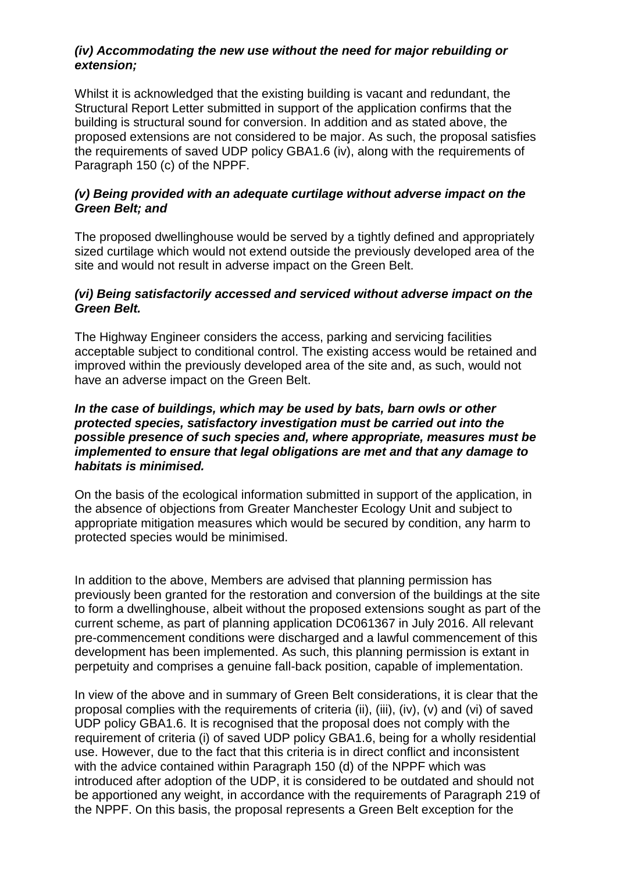### *(iv) Accommodating the new use without the need for major rebuilding or extension;*

Whilst it is acknowledged that the existing building is vacant and redundant, the Structural Report Letter submitted in support of the application confirms that the building is structural sound for conversion. In addition and as stated above, the proposed extensions are not considered to be major. As such, the proposal satisfies the requirements of saved UDP policy GBA1.6 (iv), along with the requirements of Paragraph 150 (c) of the NPPF.

### *(v) Being provided with an adequate curtilage without adverse impact on the Green Belt; and*

The proposed dwellinghouse would be served by a tightly defined and appropriately sized curtilage which would not extend outside the previously developed area of the site and would not result in adverse impact on the Green Belt.

### *(vi) Being satisfactorily accessed and serviced without adverse impact on the Green Belt.*

The Highway Engineer considers the access, parking and servicing facilities acceptable subject to conditional control. The existing access would be retained and improved within the previously developed area of the site and, as such, would not have an adverse impact on the Green Belt.

### *In the case of buildings, which may be used by bats, barn owls or other protected species, satisfactory investigation must be carried out into the possible presence of such species and, where appropriate, measures must be implemented to ensure that legal obligations are met and that any damage to habitats is minimised.*

On the basis of the ecological information submitted in support of the application, in the absence of objections from Greater Manchester Ecology Unit and subject to appropriate mitigation measures which would be secured by condition, any harm to protected species would be minimised.

In addition to the above, Members are advised that planning permission has previously been granted for the restoration and conversion of the buildings at the site to form a dwellinghouse, albeit without the proposed extensions sought as part of the current scheme, as part of planning application DC061367 in July 2016. All relevant pre-commencement conditions were discharged and a lawful commencement of this development has been implemented. As such, this planning permission is extant in perpetuity and comprises a genuine fall-back position, capable of implementation.

In view of the above and in summary of Green Belt considerations, it is clear that the proposal complies with the requirements of criteria (ii), (iii), (iv), (v) and (vi) of saved UDP policy GBA1.6. It is recognised that the proposal does not comply with the requirement of criteria (i) of saved UDP policy GBA1.6, being for a wholly residential use. However, due to the fact that this criteria is in direct conflict and inconsistent with the advice contained within Paragraph 150 (d) of the NPPF which was introduced after adoption of the UDP, it is considered to be outdated and should not be apportioned any weight, in accordance with the requirements of Paragraph 219 of the NPPF. On this basis, the proposal represents a Green Belt exception for the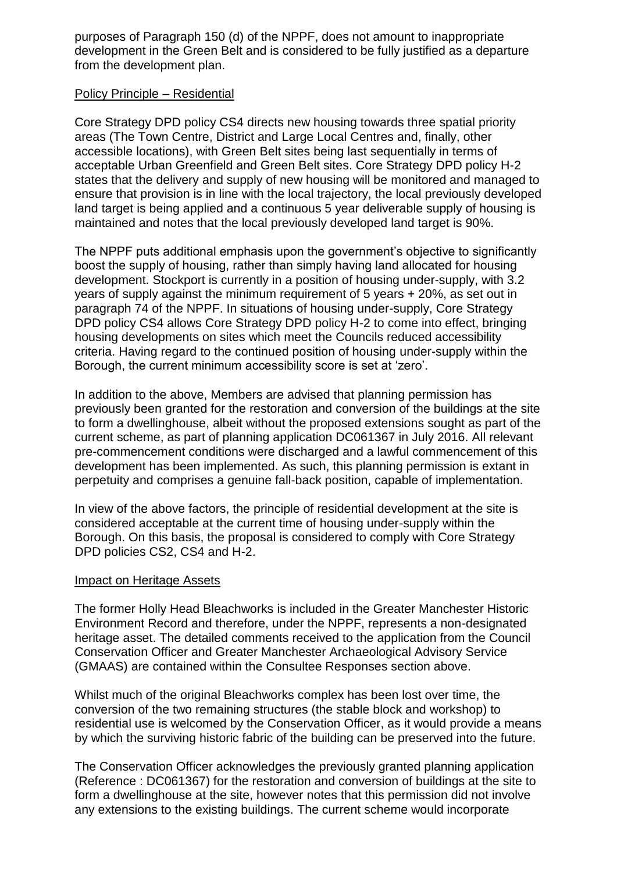purposes of Paragraph 150 (d) of the NPPF, does not amount to inappropriate development in the Green Belt and is considered to be fully justified as a departure from the development plan.

### Policy Principle – Residential

Core Strategy DPD policy CS4 directs new housing towards three spatial priority areas (The Town Centre, District and Large Local Centres and, finally, other accessible locations), with Green Belt sites being last sequentially in terms of acceptable Urban Greenfield and Green Belt sites. Core Strategy DPD policy H-2 states that the delivery and supply of new housing will be monitored and managed to ensure that provision is in line with the local trajectory, the local previously developed land target is being applied and a continuous 5 year deliverable supply of housing is maintained and notes that the local previously developed land target is 90%.

The NPPF puts additional emphasis upon the government's objective to significantly boost the supply of housing, rather than simply having land allocated for housing development. Stockport is currently in a position of housing under-supply, with 3.2 years of supply against the minimum requirement of 5 years + 20%, as set out in paragraph 74 of the NPPF. In situations of housing under-supply, Core Strategy DPD policy CS4 allows Core Strategy DPD policy H-2 to come into effect, bringing housing developments on sites which meet the Councils reduced accessibility criteria. Having regard to the continued position of housing under-supply within the Borough, the current minimum accessibility score is set at 'zero'.

In addition to the above, Members are advised that planning permission has previously been granted for the restoration and conversion of the buildings at the site to form a dwellinghouse, albeit without the proposed extensions sought as part of the current scheme, as part of planning application DC061367 in July 2016. All relevant pre-commencement conditions were discharged and a lawful commencement of this development has been implemented. As such, this planning permission is extant in perpetuity and comprises a genuine fall-back position, capable of implementation.

In view of the above factors, the principle of residential development at the site is considered acceptable at the current time of housing under-supply within the Borough. On this basis, the proposal is considered to comply with Core Strategy DPD policies CS2, CS4 and H-2.

### Impact on Heritage Assets

The former Holly Head Bleachworks is included in the Greater Manchester Historic Environment Record and therefore, under the NPPF, represents a non-designated heritage asset. The detailed comments received to the application from the Council Conservation Officer and Greater Manchester Archaeological Advisory Service (GMAAS) are contained within the Consultee Responses section above.

Whilst much of the original Bleachworks complex has been lost over time, the conversion of the two remaining structures (the stable block and workshop) to residential use is welcomed by the Conservation Officer, as it would provide a means by which the surviving historic fabric of the building can be preserved into the future.

The Conservation Officer acknowledges the previously granted planning application (Reference : DC061367) for the restoration and conversion of buildings at the site to form a dwellinghouse at the site, however notes that this permission did not involve any extensions to the existing buildings. The current scheme would incorporate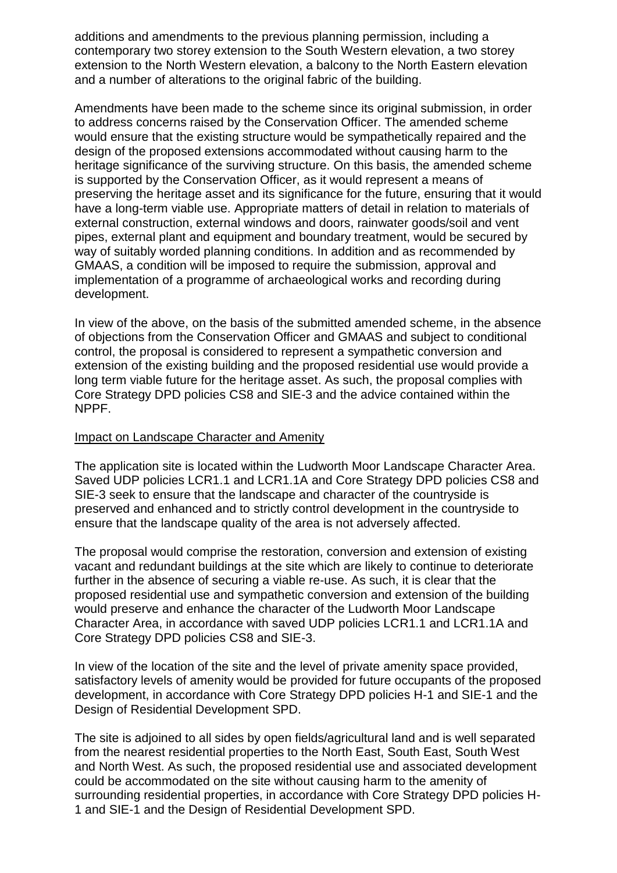additions and amendments to the previous planning permission, including a contemporary two storey extension to the South Western elevation, a two storey extension to the North Western elevation, a balcony to the North Eastern elevation and a number of alterations to the original fabric of the building.

Amendments have been made to the scheme since its original submission, in order to address concerns raised by the Conservation Officer. The amended scheme would ensure that the existing structure would be sympathetically repaired and the design of the proposed extensions accommodated without causing harm to the heritage significance of the surviving structure. On this basis, the amended scheme is supported by the Conservation Officer, as it would represent a means of preserving the heritage asset and its significance for the future, ensuring that it would have a long-term viable use. Appropriate matters of detail in relation to materials of external construction, external windows and doors, rainwater goods/soil and vent pipes, external plant and equipment and boundary treatment, would be secured by way of suitably worded planning conditions. In addition and as recommended by GMAAS, a condition will be imposed to require the submission, approval and implementation of a programme of archaeological works and recording during development.

In view of the above, on the basis of the submitted amended scheme, in the absence of objections from the Conservation Officer and GMAAS and subject to conditional control, the proposal is considered to represent a sympathetic conversion and extension of the existing building and the proposed residential use would provide a long term viable future for the heritage asset. As such, the proposal complies with Core Strategy DPD policies CS8 and SIE-3 and the advice contained within the NPPF.

#### Impact on Landscape Character and Amenity

The application site is located within the Ludworth Moor Landscape Character Area. Saved UDP policies LCR1.1 and LCR1.1A and Core Strategy DPD policies CS8 and SIE-3 seek to ensure that the landscape and character of the countryside is preserved and enhanced and to strictly control development in the countryside to ensure that the landscape quality of the area is not adversely affected.

The proposal would comprise the restoration, conversion and extension of existing vacant and redundant buildings at the site which are likely to continue to deteriorate further in the absence of securing a viable re-use. As such, it is clear that the proposed residential use and sympathetic conversion and extension of the building would preserve and enhance the character of the Ludworth Moor Landscape Character Area, in accordance with saved UDP policies LCR1.1 and LCR1.1A and Core Strategy DPD policies CS8 and SIE-3.

In view of the location of the site and the level of private amenity space provided, satisfactory levels of amenity would be provided for future occupants of the proposed development, in accordance with Core Strategy DPD policies H-1 and SIE-1 and the Design of Residential Development SPD.

The site is adjoined to all sides by open fields/agricultural land and is well separated from the nearest residential properties to the North East, South East, South West and North West. As such, the proposed residential use and associated development could be accommodated on the site without causing harm to the amenity of surrounding residential properties, in accordance with Core Strategy DPD policies H-1 and SIE-1 and the Design of Residential Development SPD.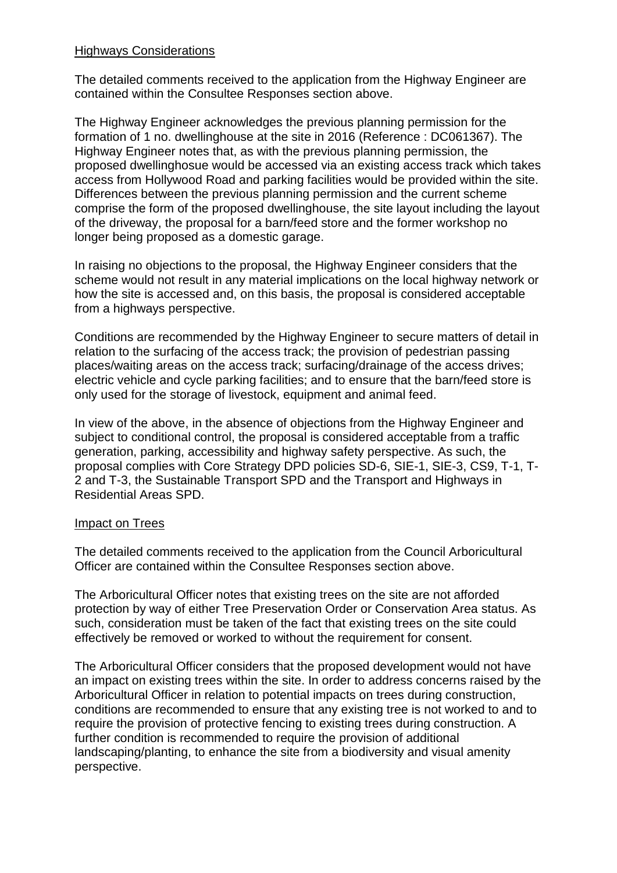#### Highways Considerations

The detailed comments received to the application from the Highway Engineer are contained within the Consultee Responses section above.

The Highway Engineer acknowledges the previous planning permission for the formation of 1 no. dwellinghouse at the site in 2016 (Reference : DC061367). The Highway Engineer notes that, as with the previous planning permission, the proposed dwellinghosue would be accessed via an existing access track which takes access from Hollywood Road and parking facilities would be provided within the site. Differences between the previous planning permission and the current scheme comprise the form of the proposed dwellinghouse, the site layout including the layout of the driveway, the proposal for a barn/feed store and the former workshop no longer being proposed as a domestic garage.

In raising no objections to the proposal, the Highway Engineer considers that the scheme would not result in any material implications on the local highway network or how the site is accessed and, on this basis, the proposal is considered acceptable from a highways perspective.

Conditions are recommended by the Highway Engineer to secure matters of detail in relation to the surfacing of the access track; the provision of pedestrian passing places/waiting areas on the access track; surfacing/drainage of the access drives; electric vehicle and cycle parking facilities; and to ensure that the barn/feed store is only used for the storage of livestock, equipment and animal feed.

In view of the above, in the absence of objections from the Highway Engineer and subject to conditional control, the proposal is considered acceptable from a traffic generation, parking, accessibility and highway safety perspective. As such, the proposal complies with Core Strategy DPD policies SD-6, SIE-1, SIE-3, CS9, T-1, T-2 and T-3, the Sustainable Transport SPD and the Transport and Highways in Residential Areas SPD.

#### Impact on Trees

The detailed comments received to the application from the Council Arboricultural Officer are contained within the Consultee Responses section above.

The Arboricultural Officer notes that existing trees on the site are not afforded protection by way of either Tree Preservation Order or Conservation Area status. As such, consideration must be taken of the fact that existing trees on the site could effectively be removed or worked to without the requirement for consent.

The Arboricultural Officer considers that the proposed development would not have an impact on existing trees within the site. In order to address concerns raised by the Arboricultural Officer in relation to potential impacts on trees during construction, conditions are recommended to ensure that any existing tree is not worked to and to require the provision of protective fencing to existing trees during construction. A further condition is recommended to require the provision of additional landscaping/planting, to enhance the site from a biodiversity and visual amenity perspective.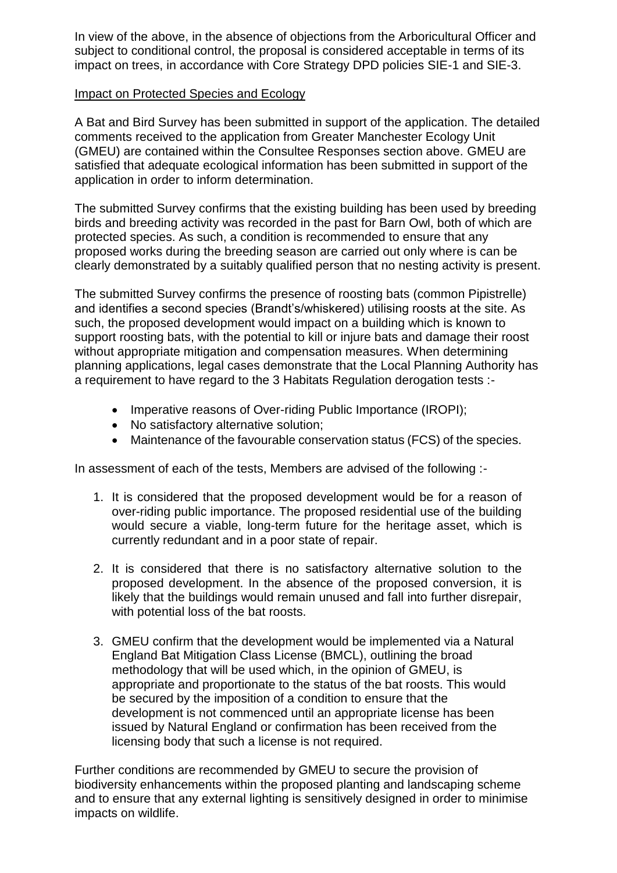In view of the above, in the absence of objections from the Arboricultural Officer and subject to conditional control, the proposal is considered acceptable in terms of its impact on trees, in accordance with Core Strategy DPD policies SIE-1 and SIE-3.

### Impact on Protected Species and Ecology

A Bat and Bird Survey has been submitted in support of the application. The detailed comments received to the application from Greater Manchester Ecology Unit (GMEU) are contained within the Consultee Responses section above. GMEU are satisfied that adequate ecological information has been submitted in support of the application in order to inform determination.

The submitted Survey confirms that the existing building has been used by breeding birds and breeding activity was recorded in the past for Barn Owl, both of which are protected species. As such, a condition is recommended to ensure that any proposed works during the breeding season are carried out only where is can be clearly demonstrated by a suitably qualified person that no nesting activity is present.

The submitted Survey confirms the presence of roosting bats (common Pipistrelle) and identifies a second species (Brandt's/whiskered) utilising roosts at the site. As such, the proposed development would impact on a building which is known to support roosting bats, with the potential to kill or injure bats and damage their roost without appropriate mitigation and compensation measures. When determining planning applications, legal cases demonstrate that the Local Planning Authority has a requirement to have regard to the 3 Habitats Regulation derogation tests :-

- Imperative reasons of Over-riding Public Importance (IROPI);
- No satisfactory alternative solution;
- Maintenance of the favourable conservation status (FCS) of the species.

In assessment of each of the tests, Members are advised of the following :-

- 1. It is considered that the proposed development would be for a reason of over-riding public importance. The proposed residential use of the building would secure a viable, long-term future for the heritage asset, which is currently redundant and in a poor state of repair.
- 2. It is considered that there is no satisfactory alternative solution to the proposed development. In the absence of the proposed conversion, it is likely that the buildings would remain unused and fall into further disrepair, with potential loss of the bat roosts.
- 3. GMEU confirm that the development would be implemented via a Natural England Bat Mitigation Class License (BMCL), outlining the broad methodology that will be used which, in the opinion of GMEU, is appropriate and proportionate to the status of the bat roosts. This would be secured by the imposition of a condition to ensure that the development is not commenced until an appropriate license has been issued by Natural England or confirmation has been received from the licensing body that such a license is not required.

Further conditions are recommended by GMEU to secure the provision of biodiversity enhancements within the proposed planting and landscaping scheme and to ensure that any external lighting is sensitively designed in order to minimise impacts on wildlife.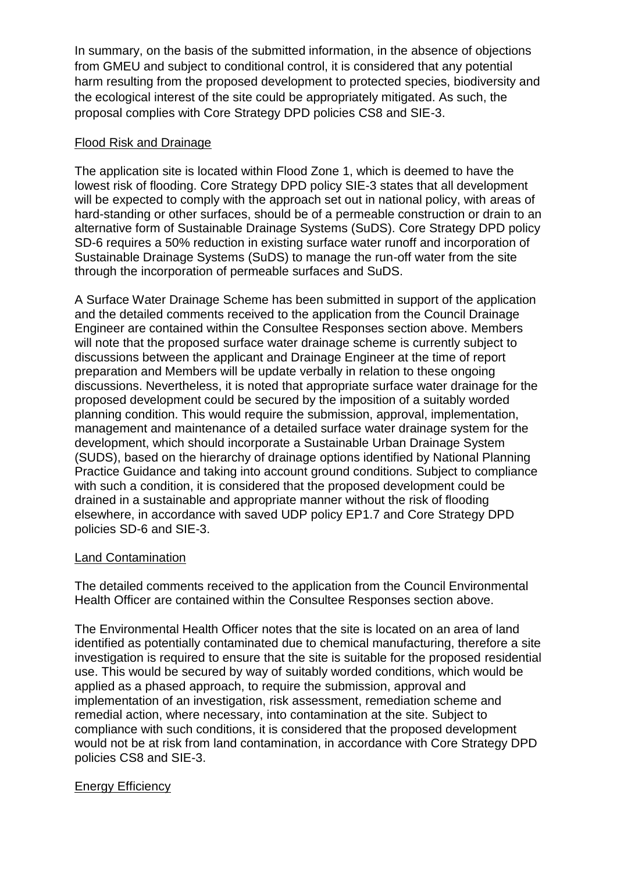In summary, on the basis of the submitted information, in the absence of objections from GMEU and subject to conditional control, it is considered that any potential harm resulting from the proposed development to protected species, biodiversity and the ecological interest of the site could be appropriately mitigated. As such, the proposal complies with Core Strategy DPD policies CS8 and SIE-3.

### Flood Risk and Drainage

The application site is located within Flood Zone 1, which is deemed to have the lowest risk of flooding. Core Strategy DPD policy SIE-3 states that all development will be expected to comply with the approach set out in national policy, with areas of hard-standing or other surfaces, should be of a permeable construction or drain to an alternative form of Sustainable Drainage Systems (SuDS). Core Strategy DPD policy SD-6 requires a 50% reduction in existing surface water runoff and incorporation of Sustainable Drainage Systems (SuDS) to manage the run-off water from the site through the incorporation of permeable surfaces and SuDS.

A Surface Water Drainage Scheme has been submitted in support of the application and the detailed comments received to the application from the Council Drainage Engineer are contained within the Consultee Responses section above. Members will note that the proposed surface water drainage scheme is currently subject to discussions between the applicant and Drainage Engineer at the time of report preparation and Members will be update verbally in relation to these ongoing discussions. Nevertheless, it is noted that appropriate surface water drainage for the proposed development could be secured by the imposition of a suitably worded planning condition. This would require the submission, approval, implementation, management and maintenance of a detailed surface water drainage system for the development, which should incorporate a Sustainable Urban Drainage System (SUDS), based on the hierarchy of drainage options identified by National Planning Practice Guidance and taking into account ground conditions. Subject to compliance with such a condition, it is considered that the proposed development could be drained in a sustainable and appropriate manner without the risk of flooding elsewhere, in accordance with saved UDP policy EP1.7 and Core Strategy DPD policies SD-6 and SIE-3.

### Land Contamination

The detailed comments received to the application from the Council Environmental Health Officer are contained within the Consultee Responses section above.

The Environmental Health Officer notes that the site is located on an area of land identified as potentially contaminated due to chemical manufacturing, therefore a site investigation is required to ensure that the site is suitable for the proposed residential use. This would be secured by way of suitably worded conditions, which would be applied as a phased approach, to require the submission, approval and implementation of an investigation, risk assessment, remediation scheme and remedial action, where necessary, into contamination at the site. Subject to compliance with such conditions, it is considered that the proposed development would not be at risk from land contamination, in accordance with Core Strategy DPD policies CS8 and SIE-3.

## Energy Efficiency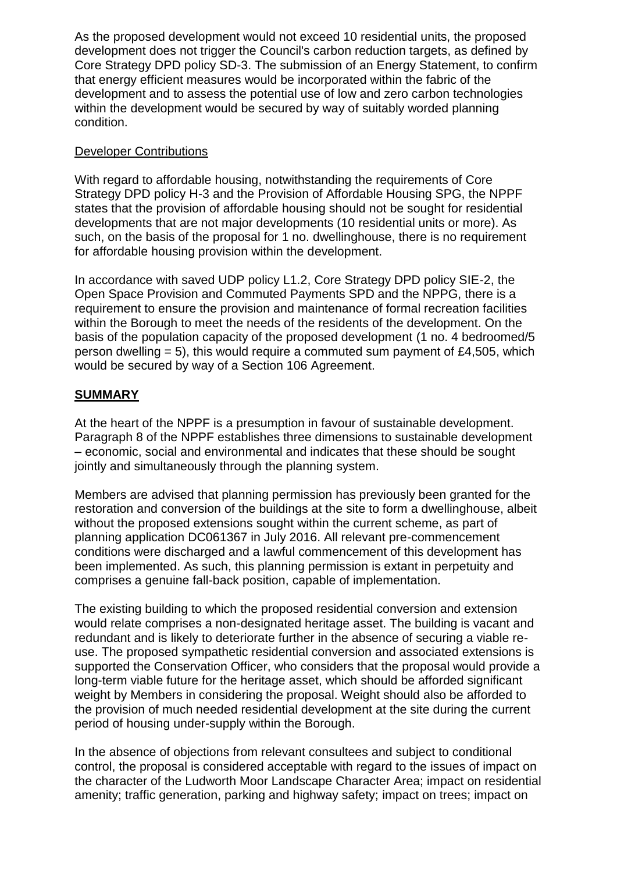As the proposed development would not exceed 10 residential units, the proposed development does not trigger the Council's carbon reduction targets, as defined by Core Strategy DPD policy SD-3. The submission of an Energy Statement, to confirm that energy efficient measures would be incorporated within the fabric of the development and to assess the potential use of low and zero carbon technologies within the development would be secured by way of suitably worded planning condition.

### Developer Contributions

With regard to affordable housing, notwithstanding the requirements of Core Strategy DPD policy H-3 and the Provision of Affordable Housing SPG, the NPPF states that the provision of affordable housing should not be sought for residential developments that are not major developments (10 residential units or more). As such, on the basis of the proposal for 1 no. dwellinghouse, there is no requirement for affordable housing provision within the development.

In accordance with saved UDP policy L1.2, Core Strategy DPD policy SIE-2, the Open Space Provision and Commuted Payments SPD and the NPPG, there is a requirement to ensure the provision and maintenance of formal recreation facilities within the Borough to meet the needs of the residents of the development. On the basis of the population capacity of the proposed development (1 no. 4 bedroomed/5 person dwelling  $= 5$ ), this would require a commuted sum payment of £4,505, which would be secured by way of a Section 106 Agreement.

## **SUMMARY**

At the heart of the NPPF is a presumption in favour of sustainable development. Paragraph 8 of the NPPF establishes three dimensions to sustainable development – economic, social and environmental and indicates that these should be sought jointly and simultaneously through the planning system.

Members are advised that planning permission has previously been granted for the restoration and conversion of the buildings at the site to form a dwellinghouse, albeit without the proposed extensions sought within the current scheme, as part of planning application DC061367 in July 2016. All relevant pre-commencement conditions were discharged and a lawful commencement of this development has been implemented. As such, this planning permission is extant in perpetuity and comprises a genuine fall-back position, capable of implementation.

The existing building to which the proposed residential conversion and extension would relate comprises a non-designated heritage asset. The building is vacant and redundant and is likely to deteriorate further in the absence of securing a viable reuse. The proposed sympathetic residential conversion and associated extensions is supported the Conservation Officer, who considers that the proposal would provide a long-term viable future for the heritage asset, which should be afforded significant weight by Members in considering the proposal. Weight should also be afforded to the provision of much needed residential development at the site during the current period of housing under-supply within the Borough.

In the absence of objections from relevant consultees and subject to conditional control, the proposal is considered acceptable with regard to the issues of impact on the character of the Ludworth Moor Landscape Character Area; impact on residential amenity; traffic generation, parking and highway safety; impact on trees; impact on